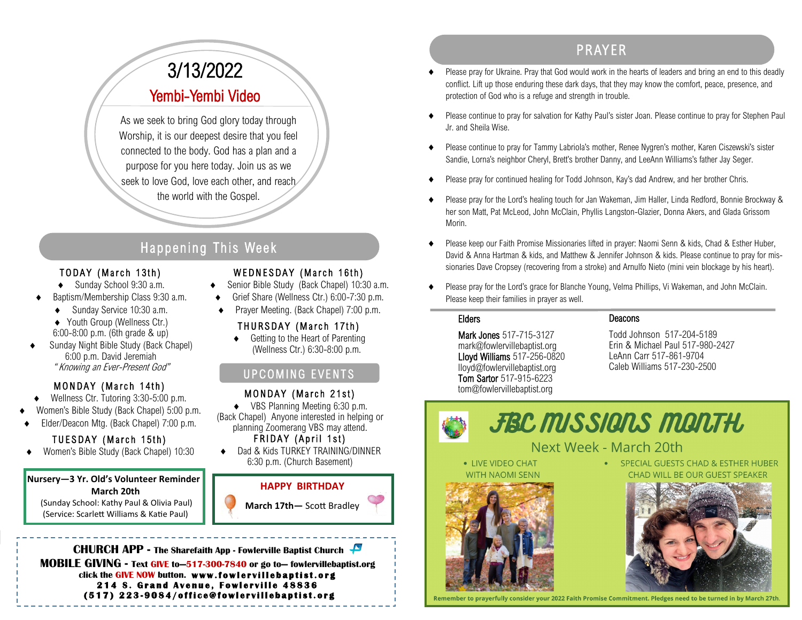# PR AYER

- Please pray for Ukraine. Pray that God would work in the hearts of leaders and bring an end to this deadly conflict. Lift up those enduring these dark days, that they may know the comfort, peace, presence, and protection of God who is a refuge and strength in trouble.
- Please continue to pray for salvation for Kathy Paul's sister Joan. Please continue to pray for Stephen Paul Jr. and Sheila Wise.
- Please continue to pray for Tammy Labriola's mother, Renee Nygren's mother, Karen Ciszewski's sister Sandie, Lorna's neighbor Cheryl, Brett's brother Danny, and LeeAnn Williams's father Jay Seger.
- Please pray for continued healing for Todd Johnson, Kay's dad Andrew, and her brother Chris.
- Please pray for the Lord's healing touch for Jan Wakeman, Jim Haller, Linda Redford, Bonnie Brockway & her son Matt, Pat McLeod, John McClain, Phyllis Langston-Glazier, Donna Akers, and Glada Grissom Morin.
- Please keep our Faith Promise Missionaries lifted in prayer: Naomi Senn & kids, Chad & Esther Huber, David & Anna Hartman & kids, and Matthew & Jennifer Johnson & kids. Please continue to pray for missionaries Dave Cropsey (recovering from a stroke) and Arnulfo Nieto (mini vein blockage by his heart).
- Please pray for the Lord's grace for Blanche Young, Velma Phillips, Vi Wakeman, and John McClain. Please keep their families in prayer as well.

#### Elders

Mark Jones 517-715-3127 mark@fowlervillebaptist.org Lloyd Williams 517-256-0820 lloyd@fowlervillebaptist.org Tom Sartor 517-915-6223 tom@fowlervillebaptist.org

#### Deacons

Todd Johnson 517-204-5189 Erin & Michael Paul 517-980-2427 LeAnn Carr 517-861-9704 Caleb Williams 517-230-2500



### Next Week - March 20th

Remember to prayerfully consider your 2022 Faith Promise Commitment. Pledges need to be turned in by March 27th

• LIVE VIDEO CHAT **WITH NAOMI SENN** 



**GUESTS CHAD & ESTHER HUBER BE OUR GUEST SPEAKER** 



# 3/13/2022 Yembi-Yembi Video

As we seek to bring God glory today through Worship, it is our deepest desire that you feel connected to the body. God has a plan and a purpose for you here today. Join us as we seek to love God, love each other, and reach the world with the Gospel.

## Happening This Week

#### TODAY (March 13th)

- ◆ Sunday School 9:30 a.m.
- Baptism/Membership Class 9:30 a.m.
	- ◆ Sunday Service 10:30 a.m. ◆ Youth Group (Wellness Ctr.) 6:00-8:00 p.m. (6th grade & up)
- Sunday Night Bible Study (Back Chapel) 6:00 p.m. David Jeremiah " Knowing an Ever-Present God"

#### MONDAY (March 14th)

- Wellness Ctr. Tutoring 3:30-5:00 p.m.
- Women's Bible Study (Back Chapel) 5:00 p.m.
- Elder/Deacon Mtg. (Back Chapel) 7:00 p.m.

#### TUESDAY (March 15th)

Women's Bible Study (Back Chapel) 10:30

#### **Nursery—3 Yr. Old's Volunteer Reminder March 20th**

(Sunday School: Kathy Paul & Olivia Paul) (Service: Scarlett Williams & Katie Paul)



- ◆ Senior Bible Study (Back Chapel) 10:30 a.m.
- Grief Share (Wellness Ctr.) 6:00-7:30 p.m.
- Prayer Meeting. (Back Chapel) 7:00 p.m.

### THURSDAY (March 17th)

◆ Getting to the Heart of Parenting (Wellness Ctr.) 6:30-8:00 p.m.

### UPCOMING EVENTS

#### MONDAY (March 21st)

- ◆ VBS Planning Meeting 6:30 p.m.
- (Back Chapel) Anyone interested in helping or planning Zoomerang VBS may attend.

#### FRIDAY (April 1st)

 Dad & Kids TURKEY TRAINING/DINNER 6:30 p.m. (Church Basement)



**CHURCH APP - The Sharefaith App - Fowlerville Baptist Church MOBILE GIVING - Text GIVE to—517-300-7840 or go to— fowlervillebaptist.org** click the GIVE NOW button. www.fowlervillebaptist.org **214 S. Grand Avenue, Fowlerville 48836 ( 5 1 7 ) 2 2 3 - 9 0 8 4 / o f f i c e @ f o w l e r v i l l e b a p t i s t . o r g**